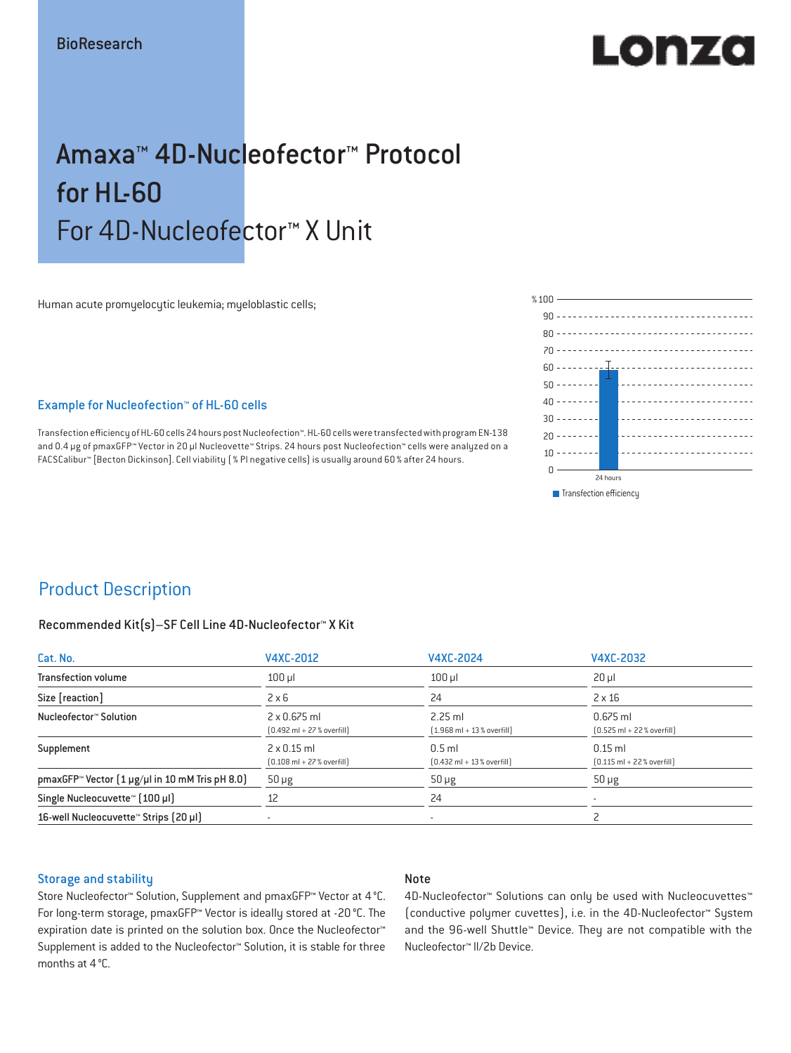# LORZO

## Amaxa™ 4D-Nucleofector™ Protocol for HL-60 For 4D-Nucleofector™ X Unit

Human acute promyelocytic leukemia; myeloblastic cells;

#### Example for Nucleofection™ of HL-60 cells

Transfection efficiency of HL-60 cells 24 hours post Nucleofection™. HL-60 cells were transfected with program EN-138 and 0.4 μg of pmaxGFP™ Vector in 20 µl Nucleovette™ Strips. 24 hours post Nucleofection™ cells were analyzed on a FACSCalibur™ [Becton Dickinson]. Cell viability ( % PI negative cells) is usually around 60% after 24 hours.



### Product Description

#### Recommended Kit(s)–SF Cell Line 4D-Nucleofector™ X Kit

| Cat. No.                                                           | V4XC-2012                                                           | V4XC-2024                                                | V4XC-2032                                                  |  |
|--------------------------------------------------------------------|---------------------------------------------------------------------|----------------------------------------------------------|------------------------------------------------------------|--|
| <b>Transfection volume</b>                                         | $100$ $\mu$                                                         | $100$ $\mu$                                              | $20 \mu$                                                   |  |
| Size [reaction]                                                    | $2 \times 6$                                                        | 24                                                       | $2 \times 16$                                              |  |
| Nucleofector™ Solution                                             | $2 \times 0.675$ ml<br>$[0.492 \text{ ml} + 27 \text{ %} overfill]$ | $2.25$ ml<br>$[1.968 \text{ ml} + 13 % \text{overfill}]$ | $0.675$ ml<br>$[0.525 \text{ ml} + 22 \text{ % overfill}]$ |  |
| Supplement                                                         | $2 \times 0.15$ ml<br>$[0.108 \text{ ml} + 27 \text{ %} overfill]$  | $0.5$ ml<br>$[0.432 \text{ ml} + 13 \text{ %} overfill]$ | $0.15$ ml<br>$[0.115 \text{ ml} + 22 \text{ % overfill}]$  |  |
| pmaxGFP <sup>*</sup> Vector $(1 \mu g/\mu l$ in 10 mM Tris pH 8.0) | $50 \mu g$                                                          | $50 \mu g$                                               | $50 \mu g$                                                 |  |
| Single Nucleocuvette™ [100 µl]                                     | 12                                                                  | 24                                                       |                                                            |  |
| 16-well Nucleocuvette <sup>™</sup> Strips [20 µl]                  | $\overline{\phantom{a}}$                                            | $\sim$                                                   |                                                            |  |

#### Storage and stability

#### Note

Store Nucleofector™ Solution, Supplement and pmaxGFP™ Vector at 4°C. For long-term storage, pmaxGFP™ Vector is ideally stored at -20 °C. The expiration date is printed on the solution box. Once the Nucleofector™ Supplement is added to the Nucleofector™ Solution, it is stable for three months at 4°C.

4D-Nucleofector™ Solutions can only be used with Nucleocuvettes™ (conductive polymer cuvettes), i.e. in the 4D-Nucleofector™ System and the 96-well Shuttle™ Device. They are not compatible with the Nucleofector™ II/2b Device.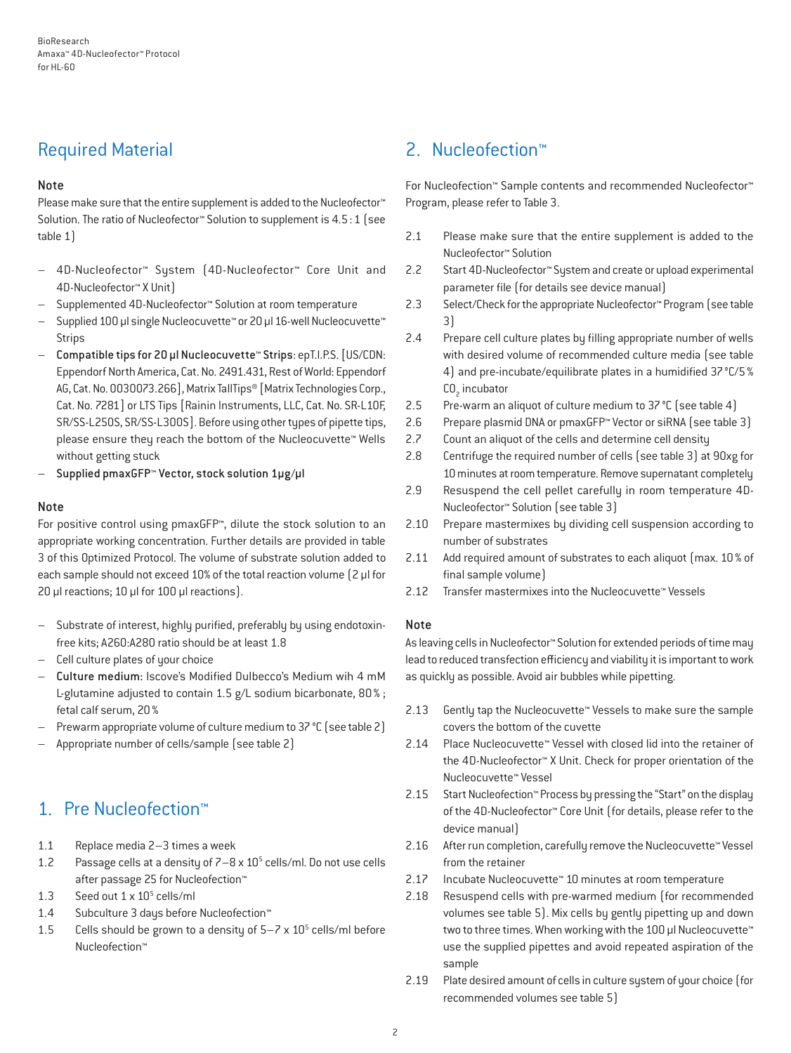## Required Material

#### Note

Please make sure that the entire supplement is added to the Nucleofector<sup>™</sup> Solution. The ratio of Nucleofector™ Solution to supplement is 4.5:1 (see table 1)

- 4D-Nucleofector™ System (4D-Nucleofector™ Core Unit and 4D-Nucleofector™ X Unit)
- Supplemented 4D-Nucleofector™ Solution at room temperature
- Supplied 100 µl single Nucleocuvette™ or 20 µl 16-well Nucleocuvette™ Strips
- Compatible tips for 20 µl Nucleocuvette™ Strips: epT.I.P.S. [US/CDN: Eppendorf North America, Cat. No. 2491.431, Rest of World: Eppendorf AG, Cat. No. 0030073.266], Matrix TallTips® [Matrix Technologies Corp., Cat. No. 7281] or LTS Tips [Rainin Instruments, LLC, Cat. No. SR-L10F, SR/SS-L250S, SR/SS-L300S]. Before using other types of pipette tips, please ensure they reach the bottom of the Nucleocuvette™ Wells without getting stuck
- Supplied pmaxGFP™ Vector, stock solution 1µg/µl

#### Note

For positive control using pmaxGFP™, dilute the stock solution to an appropriate working concentration. Further details are provided in table 3 of this Optimized Protocol. The volume of substrate solution added to each sample should not exceed 10% of the total reaction volume [2 µl for 20 µl reactions; 10 µl for 100 µl reactions).

- Substrate of interest, highly purified, preferably by using endotoxinfree kits; A260:A280 ratio should be at least 1.8
- Cell culture plates of your choice
- Culture medium: Iscove's Modified Dulbecco's Medium wih 4 mM L-glutamine adjusted to contain 1.5 g/L sodium bicarbonate, 80% ; fetal calf serum, 20%
- Prewarm appropriate volume of culture medium to 37 °C (see table 2)
- Appropriate number of cells/sample (see table 2)

## 1. Pre Nucleofection™

- 1.1 Replace media 2–3 times a week
- 1.2 Passage cells at a density of  $7-8 \times 10^5$  cells/ml. Do not use cells after passage 25 for Nucleofection™
- 1.3 Seed out  $1 \times 10^5$  cells/ml
- 1.4 Subculture 3 days before Nucleofection™
- 1.5 Cells should be grown to a density of  $5-7 \times 10^5$  cells/ml before Nucleofection™

## 2. Nucleofection™

For Nucleofection™ Sample contents and recommended Nucleofector™ Program, please refer to Table 3.

- 2.1 Please make sure that the entire supplement is added to the Nucleofector™ Solution
- 2.2 Start 4D-Nucleofector™ System and create or upload experimental parameter file (for details see device manual)
- 2.3 Select/Check for the appropriate Nucleofector™ Program (see table 3)
- 2.4 Prepare cell culture plates by filling appropriate number of wells with desired volume of recommended culture media (see table 4) and pre-incubate/equilibrate plates in a humidified 37°C/5%  $CO<sub>2</sub>$  incubator
- 2.5 Pre-warm an aliquot of culture medium to 37 °C (see table 4)
- 2.6 Prepare plasmid DNA or pmaxGFP™ Vector or siRNA (see table 3)
- 2.7 Count an aliquot of the cells and determine cell density
- 2.8 Centrifuge the required number of cells (see table 3) at 90xg for 10 minutes at room temperature. Remove supernatant completely
- 2.9 Resuspend the cell pellet carefully in room temperature 4D-Nucleofector™ Solution (see table 3)
- 2.10 Prepare mastermixes by dividing cell suspension according to number of substrates
- 2.11 Add required amount of substrates to each aliquot (max. 10 % of final sample volume)
- 2.12 Transfer mastermixes into the Nucleocuvette™ Vessels

#### Note

As leaving cells in Nucleofector™ Solution for extended periods of time may lead to reduced transfection efficiency and viability it is important to work as quickly as possible. Avoid air bubbles while pipetting.

- 2.13 Gently tap the Nucleocuvette™ Vessels to make sure the sample covers the bottom of the cuvette
- 2.14 Place Nucleocuvette™ Vessel with closed lid into the retainer of the 4D-Nucleofector™ X Unit. Check for proper orientation of the Nucleocuvette™ Vessel
- 2.15 Start Nucleofection™ Process by pressing the "Start" on the display of the 4D-Nucleofector™ Core Unit (for details, please refer to the device manual)
- 2.16 After run completion, carefully remove the Nucleocuvette™ Vessel from the retainer
- 2.17 Incubate Nucleocuvette™ 10 minutes at room temperature
- 2.18 Resuspend cells with pre-warmed medium (for recommended volumes see table 5). Mix cells by gently pipetting up and down two to three times. When working with the 100 µl Nucleocuvette™ use the supplied pipettes and avoid repeated aspiration of the sample
- 2.19 Plate desired amount of cells in culture system of your choice (for recommended volumes see table 5)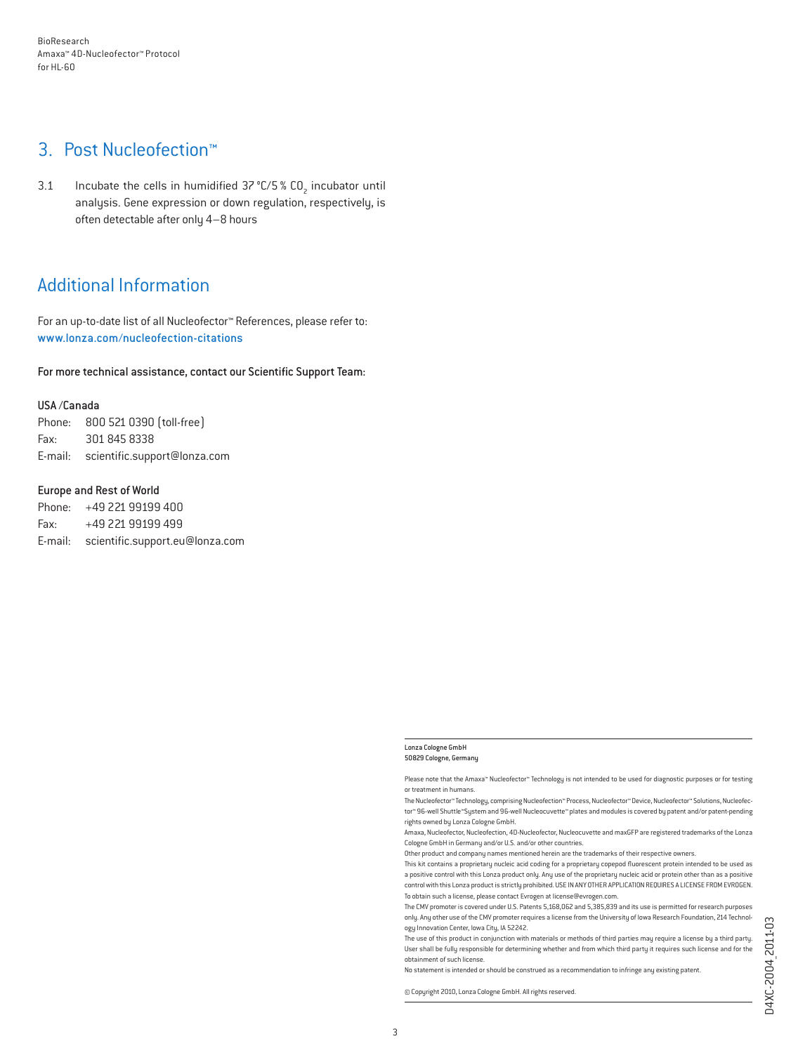## 3. Post Nucleofection™

3.1 Incubate the cells in humidified  $37^{\circ}$ C/5 % CO<sub>2</sub> incubator until analysis. Gene expression or down regulation, respectively, is often detectable after only 4–8 hours

## Additional Information

For an up-to-date list of all Nucleofector™ References, please refer to: www.lonza.com/nucleofection-citations

For more technical assistance, contact our Scientific Support Team:

#### USA /Canada

Phone: 800 521 0390 (toll-free) Fax: 301 845 8338 E-mail: scientific.support@lonza.com

#### Europe and Rest of World

Phone: +49 221 99199 400 Fax: +49 221 99199 499 E-mail: scientific.support.eu@lonza.com

Please note that the Amaxa™ Nucleofector™ Technology is not intended to be used for diagnostic purposes or for testing or treatment in humans.

The Nucleofector™ Technology, comprising Nucleofection™ Process, Nucleofector™ Device, Nucleofector™ Solutions, Nucleofector™ 96-well Shuttle™System and 96-well Nucleocuvette™ plates and modules is covered by patent and/or patent-pending rights owned by Lonza Cologne GmbH.

Amaxa, Nucleofector, Nucleofection, 4D-Nucleofector, Nucleocuvette and maxGFP are registered trademarks of the Lonza Cologne GmbH in Germany and/or U.S. and/or other countries.

Other product and company names mentioned herein are the trademarks of their respective owners.

This kit contains a proprietary nucleic acid coding for a proprietary copepod fluorescent protein intended to be used as a positive control with this Lonza product only. Any use of the proprietary nucleic acid or protein other than as a positive control with this Lonza product is strictly prohibited. USE IN ANY OTHER APPLICATION REQUIRES A LICENSE FROM EVROGEN. To obtain such a license, please contact Evrogen at license@evrogen.com.

The CMV promoter is covered under U.S. Patents 5,168,062 and 5,385,839 and its use is permitted for research purposes only. Any other use of the CMV promoter requires a license from the University of Iowa Research Foundation, 214 Technology Innovation Center, Iowa City, IA 52242.

The use of this product in conjunction with materials or methods of third parties may require a license by a third party. User shall be fully responsible for determining whether and from which third party it requires such license and for the obtainment of such license.

No statement is intended or should be construed as a recommendation to infringe any existing patent.

© Copyright 2010, Lonza Cologne GmbH. All rights reserved.

Lonza Cologne GmbH 50829 Cologne, Germany